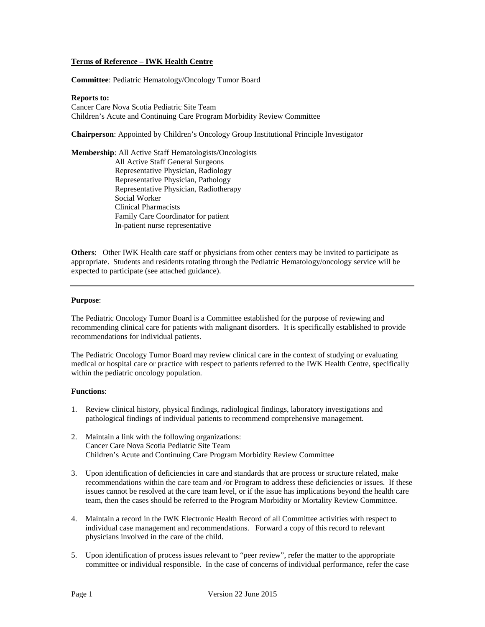# **Terms of Reference – IWK Health Centre**

**Committee**: Pediatric Hematology/Oncology Tumor Board

#### **Reports to:**

Cancer Care Nova Scotia Pediatric Site Team Children's Acute and Continuing Care Program Morbidity Review Committee

**Chairperson**: Appointed by Children's Oncology Group Institutional Principle Investigator

**Membership**: All Active Staff Hematologists/Oncologists All Active Staff General Surgeons Representative Physician, Radiology Representative Physician, Pathology Representative Physician, Radiotherapy Social Worker Clinical Pharmacists Family Care Coordinator for patient In-patient nurse representative

**Others**: Other IWK Health care staff or physicians from other centers may be invited to participate as appropriate. Students and residents rotating through the Pediatric Hematology/oncology service will be expected to participate (see attached guidance).

## **Purpose**:

The Pediatric Oncology Tumor Board is a Committee established for the purpose of reviewing and recommending clinical care for patients with malignant disorders. It is specifically established to provide recommendations for individual patients.

The Pediatric Oncology Tumor Board may review clinical care in the context of studying or evaluating medical or hospital care or practice with respect to patients referred to the IWK Health Centre, specifically within the pediatric oncology population.

### **Functions**:

- 1. Review clinical history, physical findings, radiological findings, laboratory investigations and pathological findings of individual patients to recommend comprehensive management.
- 2. Maintain a link with the following organizations: Cancer Care Nova Scotia Pediatric Site Team Children's Acute and Continuing Care Program Morbidity Review Committee
- 3. Upon identification of deficiencies in care and standards that are process or structure related, make recommendations within the care team and /or Program to address these deficiencies or issues. If these issues cannot be resolved at the care team level, or if the issue has implications beyond the health care team, then the cases should be referred to the Program Morbidity or Mortality Review Committee.
- 4. Maintain a record in the IWK Electronic Health Record of all Committee activities with respect to individual case management and recommendations. Forward a copy of this record to relevant physicians involved in the care of the child.
- 5. Upon identification of process issues relevant to "peer review", refer the matter to the appropriate committee or individual responsible. In the case of concerns of individual performance, refer the case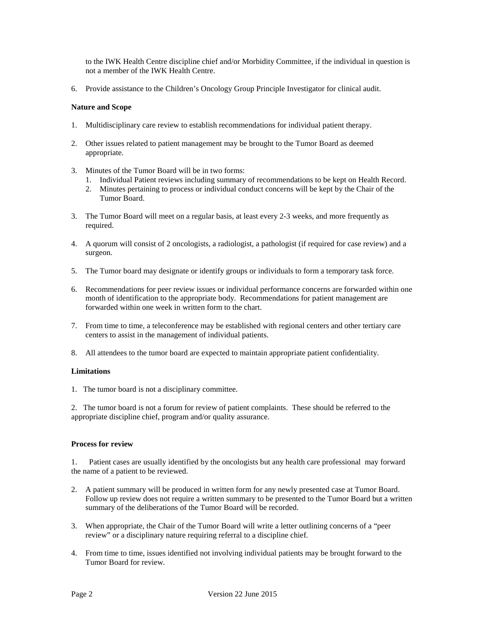to the IWK Health Centre discipline chief and/or Morbidity Committee, if the individual in question is not a member of the IWK Health Centre.

6. Provide assistance to the Children's Oncology Group Principle Investigator for clinical audit.

### **Nature and Scope**

- 1. Multidisciplinary care review to establish recommendations for individual patient therapy.
- 2. Other issues related to patient management may be brought to the Tumor Board as deemed appropriate.
- 3. Minutes of the Tumor Board will be in two forms:
	- 1. Individual Patient reviews including summary of recommendations to be kept on Health Record.
	- 2. Minutes pertaining to process or individual conduct concerns will be kept by the Chair of the Tumor Board.
- 3. The Tumor Board will meet on a regular basis, at least every 2-3 weeks, and more frequently as required.
- 4. A quorum will consist of 2 oncologists, a radiologist, a pathologist (if required for case review) and a surgeon.
- 5. The Tumor board may designate or identify groups or individuals to form a temporary task force.
- 6. Recommendations for peer review issues or individual performance concerns are forwarded within one month of identification to the appropriate body. Recommendations for patient management are forwarded within one week in written form to the chart.
- 7. From time to time, a teleconference may be established with regional centers and other tertiary care centers to assist in the management of individual patients.
- 8. All attendees to the tumor board are expected to maintain appropriate patient confidentiality.

### **Limitations**

1. The tumor board is not a disciplinary committee.

2. The tumor board is not a forum for review of patient complaints. These should be referred to the appropriate discipline chief, program and/or quality assurance.

## **Process for review**

1. Patient cases are usually identified by the oncologists but any health care professional may forward the name of a patient to be reviewed.

- 2. A patient summary will be produced in written form for any newly presented case at Tumor Board. Follow up review does not require a written summary to be presented to the Tumor Board but a written summary of the deliberations of the Tumor Board will be recorded.
- 3. When appropriate, the Chair of the Tumor Board will write a letter outlining concerns of a "peer review" or a disciplinary nature requiring referral to a discipline chief.
- 4. From time to time, issues identified not involving individual patients may be brought forward to the Tumor Board for review.